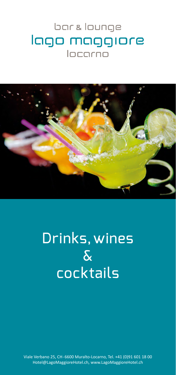## bar & lounge lago maggiore locarno



## Drinks, wines & cocktails

Viale Verbano 25, CH - 6600 Muralto-Locarno, Tel. +41 (0)91 601 18 00 Hotel@LagoMaggioreHotel.ch, www.LagoMaggioreHotel.ch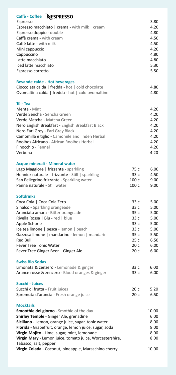| Caffè - Coffee NESPRESSO                                                                  |         | 3.80          |
|-------------------------------------------------------------------------------------------|---------|---------------|
| Espresso                                                                                  |         | 4.20          |
| Espresso macchiato   crema - with milk   cream<br>Espresso doppio - double                |         | 4.80          |
| Caffè crema - with cream                                                                  |         | 4.50          |
| Caffè latte - with milk                                                                   |         | 4.50          |
| Mini cappuccio                                                                            |         | 4.20          |
| Cappuccino                                                                                |         | 4.80          |
| Latte macchiato                                                                           |         | 4.80          |
| Iced latte macchiato                                                                      |         | 5.30          |
| Espresso corretto                                                                         |         | 5.50          |
|                                                                                           |         |               |
| <b>Bevande calde - Hot beverages</b>                                                      |         |               |
| Cioccolata calda   fredda - hot   cold chocolate                                          |         | 4.80          |
| Ovomaltina calda   fredda - hot   cold ovomaltine                                         |         | 4.80          |
| Tè - Tea                                                                                  |         |               |
| Menta - Mint                                                                              |         | 4.20          |
| Verde Sencha - Sencha Green                                                               |         | 4.20          |
| Verde Matcha - Matcha Green                                                               |         | 4.20          |
| Nero English Breakfast - English Breakfast Black                                          |         | 4.20          |
| Nero Earl Grey - Earl Grey Black                                                          |         | 4.20          |
| Camomilla e tiglio - Camomile and linden Herbal                                           |         | 4.20          |
| Rooibos Africano - African Rooibos Herbal                                                 |         | 4.20          |
| Finocchio - Fennel                                                                        |         | 4.20          |
| Verbena                                                                                   |         | 4.20          |
| Acque minerali - Mineral water                                                            |         |               |
| Lago Maggiore   frizzante - sparkling                                                     | 75 cl   | 6.00          |
| Henniez naturale   frizzante - Still   sparkling                                          | 33 cl   | 4.50          |
| San Pellegrino frizzante - Sparkling water                                                | 100 cl  | 9.00          |
| Panna naturale - Still water                                                              | 100 cl  | 9.00          |
| <b>Softdrinks</b>                                                                         |         |               |
| Coca Cola   Coca Cola Zero                                                                | 33 cl   | 5.00          |
| Sinalco - Sparkling orangeade                                                             | 33 cl   | 5.00          |
| Aranciata amara - Bitter orangeade                                                        | 35 cl   | 5.00          |
| Rivella Rossa   Blu - red   blue                                                          | 33 cl   | 5.00          |
| Apple Schorle                                                                             | 33 cl   | 5.00          |
| Ice tea limone   pesca - lemon   peach                                                    | 33 cl   | 5.00          |
| Gazzosa limone   mandarino - lemon   mandarin                                             | 35 cl   | 5.50          |
| <b>Red Bull</b>                                                                           | $25$ cl | 6.50          |
| <b>Fever Tree Tonic Water</b>                                                             | $20$ cl | 6.00          |
| Fever Tree Ginger Beer   Ginger Ale                                                       | 20 cl   | 6.00          |
| <b>Swiss Bio Sodas</b>                                                                    |         |               |
| Limonata & zenzero - Lemonade & ginger                                                    | 33 cl   | 6.00          |
| Arance rosse & zenzero - Blood oranges & ginger                                           | 33 cl   | 6.00          |
| Succhi - Juices                                                                           |         |               |
| Succhi di frutta - Fruit juices                                                           | 20 cl   | 5.20          |
| Spremuta d'arancia - Fresh orange juice                                                   | 20 cl   | 6.50          |
|                                                                                           |         |               |
| <b>Mocktails</b>                                                                          |         |               |
| <b>Smoothie del giorno</b> - Smothie of the day<br>Shirley Temple - Ginger Ale, grenadine |         | 10.00<br>6.00 |
| Siciliano - Lemon, orange juice, sugar, tonic water                                       |         | 8.00          |
| Florida - Grapefruit, orange, lemon juice, sugar, soda                                    |         | 8.00          |
| Virgin Mojito - Lime, sugar, mint, lemonade                                               |         | 8.00          |
| Virgin Mary - Lemon juice, tomato juice, Worcestershire,                                  |         | 8.00          |
| Tabasco, salt, pepper                                                                     |         |               |
| Virgin Colada - Coconut, pineapple, Maraschino cherry                                     |         | 10.00         |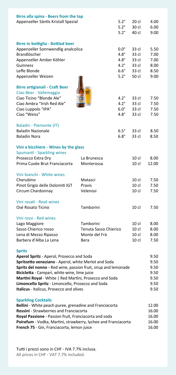| Birre alla spina - Beers from the tap<br>Appenzeller Säntis Kristall Spezial                                                                                                                                                                                                                                                                                                                    |                                                             | $5.2^\circ$<br>$5.2^\circ$<br>$5.2^\circ$                                              | 20 cl<br>30 cl<br>40 cl                              | 4.00<br>6.00<br>9.00                         |
|-------------------------------------------------------------------------------------------------------------------------------------------------------------------------------------------------------------------------------------------------------------------------------------------------------------------------------------------------------------------------------------------------|-------------------------------------------------------------|----------------------------------------------------------------------------------------|------------------------------------------------------|----------------------------------------------|
| <b>Birre in bottiglia - Bottled beer</b><br>Appenzeller Sonnwendlig analcolica<br>Brandlöscher<br>Appenzeller Amber Köhler<br>Guinness<br>Leffe Blonde<br>Appenzeller Weizen                                                                                                                                                                                                                    |                                                             | $0.0^\circ$<br>$4.8^\circ$<br>$4.8^\circ$<br>$4.2^\circ$<br>$6.6^\circ$<br>$5.2^\circ$ | 33 cl<br>33 cl<br>33 cl<br>33 cl<br>33 cl<br>50 cl   | 5.50<br>7.00<br>7.00<br>8.00<br>8.50<br>9.00 |
| <b>Birre artigianali - Craft Beer</b><br>Ciao Beer - Vallemaggia<br>Ciao Ticino "Blonde Ale"<br>Ciao Ambra "Irish Red Ale"<br>Ciao Luppolo "IPA"<br>Ciao "Weiss"                                                                                                                                                                                                                                |                                                             | $4.2^\circ$<br>$4.2^\circ$<br>$6.0^\circ$<br>$4.8^\circ$                               | 33 cl<br>33 cl<br>33 cl<br>33 cl                     | 7.50<br>7.50<br>7.50<br>7.50                 |
| Baladin - Piemonte (IT)<br><b>Baladin Nazionale</b><br><b>Baladin Nora</b>                                                                                                                                                                                                                                                                                                                      |                                                             | $6.5^\circ$<br>$6.8^\circ$                                                             | 33 cl<br>33 cl                                       | 8.50<br>8.50                                 |
| Vini a bicchiere - Wines by the glass<br>Spumanti - Sparkling wines<br>Prosecco Extra Dry<br>Prima Cuvée Brut Franciacorta                                                                                                                                                                                                                                                                      | La Brunesca<br>Monterossa                                   |                                                                                        | $10$ cl<br>$10$ cl                                   | 8.00<br>12.00                                |
| Vini bianchi - White wines<br>Cherubino<br>Pinot Grigio delle Dolomiti IGT<br>Circum Chardonnay                                                                                                                                                                                                                                                                                                 | Matasci<br>Pravis<br>Velenosi                               |                                                                                        | $10$ cl<br>$10$ cl<br>$10$ cl                        | 7.50<br>7.50<br>7.50                         |
| Vini rosati - Rosé wines<br>Osé Rosato Ticino                                                                                                                                                                                                                                                                                                                                                   | Tamborini                                                   |                                                                                        | $10$ cl                                              | 7.50                                         |
| Vini rossi - Red wines<br>Lago Maggiore<br>Sasso Chierico rosso<br>Lena di Mezzo Ripasso<br>Barbera d'Alba La Lena                                                                                                                                                                                                                                                                              | Tamborini<br>Tenuta Sasso Chierico<br>Monte del Frà<br>Bera |                                                                                        | $10$ cl<br>$10$ cl<br>$10$ cl<br>$10$ cl             | 8.00<br>8.00<br>8.00<br>7.50                 |
| <b>Spritz</b><br>Aperol Spritz - Aperol, Prosecco and Soda<br>Spritzetto veneziano - Aperol, white Merlot and Soda<br>Spritz del nonno - Red wine, passion fruit, sirup and lemonade<br>Bicicletta - Campari, white wine, lime juice<br>Martini Royal - White   Red Martini, Prosecco and Soda<br>Limoncello Spritz - Limoncello, Prosecco and Soda<br>Italicus - Italicus, Prosecco and olives |                                                             |                                                                                        | 9.50<br>9.50<br>9.50<br>9.50<br>9.50<br>9.50<br>9.50 |                                              |
| <b>Sparkling Cocktails</b><br>Bellini - White peach puree, grenadine and Franciacorta<br>Rossini - Strawberries and Franciacorta<br>Royal Passione - Passion fruit, Franciacorta and soda<br>Poirefum - Vodka, Martini, strawberry, lychee and Franciacorta<br>French 75 - Gin, Franciacorta, lemon juice                                                                                       |                                                             |                                                                                        |                                                      | 12.00<br>16.00<br>16.00<br>16.00<br>16.00    |

Tutti i prezzi sono in CHF - IVA 7.7% inclusa. All prices in CHF - VAT 7.7% included.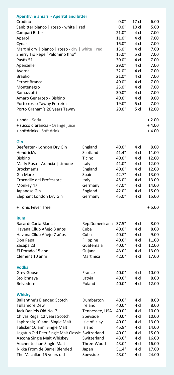| <b>Aperitivi e amari - Aperitif and bitter</b>   |                |              |                 |         |
|--------------------------------------------------|----------------|--------------|-----------------|---------|
| Crodino                                          |                | $0.0^\circ$  | $17$ cl         | 6.00    |
| Sanbitter bianco   rosso - white   red           |                | $0.0^\circ$  | $10$ cl         | 5.00    |
| Campari Bitter                                   |                | $21.0^\circ$ | 4 cl            | 7.00    |
| Aperol                                           |                | $11.0^\circ$ | 4 cl            | 7.00    |
| Cynar                                            |                | $16.0^\circ$ | 4 cl            | 7.00    |
| Martini dry   bianco   rosso - dry   white   red |                | $15.0^\circ$ | 4 cl            | 7.00    |
| Sherry Tio Pepe "Palomino fino"                  |                | $15.0^\circ$ | 5 cl            | 7.00    |
| Pastis 51                                        |                | $30.0^\circ$ | 4 cl            | 7.00    |
| Apenzeller                                       |                | $29.0^\circ$ | 4 cl            | 7.00    |
| Averna                                           |                | $32.0^\circ$ | 4 cl            | 7.00    |
| <b>Braulio</b>                                   |                | $21.0^\circ$ | 4 cl            | 7.00    |
| Fernet Branca                                    |                | $40.0^\circ$ | 4 cl            | 7.00    |
| Montenegro                                       |                | $25.0^\circ$ | 4 cl            | 7.00    |
| Ramazzotti                                       |                | $30.0^\circ$ | 4 cl            | 7.00    |
| Amaro Generoso - Bisbino                         |                | $40.0^\circ$ | 4 cl            | 9.00    |
| Porto rosso Tawny Ferreira                       |                | $19.0^\circ$ | 5 cl            | 7.00    |
| Porto Graham's 20 years Tawny                    |                | $20.0^\circ$ | 5 cl            | 12.00   |
| + soda - Soda                                    |                |              |                 | $+2.00$ |
| + succo d'arancia - Orange juice                 |                |              |                 | $+4.00$ |
| + softdrinks - Soft drink                        |                |              |                 | $+4.00$ |
| Gin                                              |                |              |                 |         |
| Beefeater - London Dry Gin                       | England        | $40.0^\circ$ | 4 cl            | 8.00    |
| Hendrick's                                       | Scotland       | $41.4^\circ$ | 4 cl            | 11.00   |
| <b>Bisbino</b>                                   | Ticino         | $40.0^\circ$ | 4 cl            | 12.00   |
| Malfy Rosa   Arancia   Limone                    | Italy          | $41.0^\circ$ | 4 cl            | 12.00   |
| Brockman's                                       | England        | $40.0^\circ$ | 4 cl            | 12.00   |
| <b>Gin Mare</b>                                  | Spain          | $42.7^\circ$ | 4 cl            | 13.00   |
| Crocodile del Professore                         | Italy          | $45.0^\circ$ | 4 cl            | 13.00   |
| Monkey 47                                        | Germany        | $47.0^\circ$ | 4 cl            | 14.00   |
| Japanese Gin                                     | England        | $42.0^\circ$ | 4 cl            | 15.00   |
| Elephant London Dry Gin                          | Germany        | $45.0^\circ$ | 4 cl            | 15.00   |
| + Tonic Fever Tree                               |                |              |                 | $+5.00$ |
| <b>Rum</b>                                       |                |              |                 |         |
| Bacardi Carta Blanca                             | Rep.Domenicana | $37.5^\circ$ | 4 cl            | 8.00    |
| Havana Cllub Añejo 3 años                        | Cuba           | $40.0^\circ$ | 4 cl            | 8.00    |
| Havana Cllub Añejo 7 años                        | Cuba           | $40.0^\circ$ | 4 cl            | 9.00    |
| Don Papa                                         | Filippine      | $40.0^\circ$ | 4 cl            | 11.00   |
| Zacapa 23                                        | Guatemala      | $40.0^\circ$ | 4 cl            | 12.00   |
| El Dorado 15 anni                                | Gujana         | $43.0^\circ$ | 4 cl            | 13.00   |
| Clement 10 anni                                  | Martinica      | $42.0^\circ$ | 4 <sub>cl</sub> | 17.00   |
| <b>Vodka</b>                                     |                |              |                 |         |
| Grey Goose                                       | France         | $40.0^\circ$ | 4 cl            | 10.00   |
| Stolichnaya                                      | Latvia         | 40.0°        | 4 cl            | 8.00    |
| <b>Belvedere</b>                                 | Poland         | $40.0^\circ$ | 4 cl            | 12.00   |
| <b>Whisky</b>                                    |                |              |                 |         |
| <b>Ballantine's Blended Scotch</b>               | Dumbarton      | $40.0^\circ$ | 4 cl            | 8.00    |
| <b>Tullamore Dew</b>                             | Ireland        | 40.0°        | 4 cl            | 8.00    |
| Jack Daniels Old No. 7                           | Tennessee, USA | $40.0^\circ$ | 4 cl            | 10.00   |
| Chivas Regal 12 years Scotch                     | Speyside       | $40.0^\circ$ | 4 cl            | 10.00   |
| Laphroaig 10 anni Single Malt                    | Isle of Islay  | $40.0^\circ$ | 4 cl            | 13.00   |
| Talisker 10 anni Single Malt                     | Island         | $45.8^\circ$ | 4 cl            | 14.00   |
| Lagatun Old Deer Single Malt Classic Switzerland |                | $40.0^\circ$ | 4 cl            | 15.00   |
| Ascona Single Malt Whiskey                       | Switzerland    | $43.0^\circ$ | 4 cl            | 16.00   |
| Auchentoshan Single Malt                         | Three-Wood     | $43.0^\circ$ | 4 cl            | 16.00   |
| Nikka From de Barrel Blended                     | Japan          | $51.4^\circ$ | 4 cl            | 17.00   |
| The Macallan 15 years old                        | Speyside       | $43.0^\circ$ | 4 cl            | 24.00   |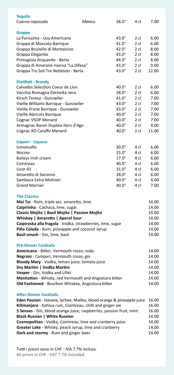| <b>Tequila</b><br>Cuervo reposado                                                                 | Mexico | $38.0^\circ$ | 4 cl           | 7.00  |
|---------------------------------------------------------------------------------------------------|--------|--------------|----------------|-------|
| <b>Grappe</b>                                                                                     |        |              |                |       |
| La Purissima - Uva Americana                                                                      |        | $43.0^\circ$ | $2$ cl         | 6.00  |
| Grappa di Moscato Barrique                                                                        |        | $41.0^\circ$ | 2 cl           | 6.00  |
| Grappa Brunello di Montalcino                                                                     |        | $42.0^\circ$ | 2 cl           | 8.00  |
| Grappa Elegantia                                                                                  |        | $43.0^\circ$ | $2$ cl         | 8.00  |
| Primagioia Acquavite - Berta                                                                      |        | $44.0^\circ$ | 2 cl           | 8.00  |
| Grappa di Amarone riserva "La Difesa"                                                             |        | $43.0^\circ$ | 2 cl           | 9.00  |
| Grappa Tre Soli Tre Nebbiolo - Berta                                                              |        | $43.0^\circ$ | 2 cl           | 12.00 |
| Distillati - Brandy                                                                               |        |              |                |       |
| Calvados Selection Coeur de Lion                                                                  |        | $40.0^\circ$ | $2$ cl         | 6.00  |
| Vecchia Romagna Etichetta nera                                                                    |        | $38.0^\circ$ | $2$ cl         | 6.00  |
| Kirsch Teresa - Gunzwiler                                                                         |        | $41.0^\circ$ | $2$ cl         | 7.00  |
| Vieille Williams Barrique - Gunzwiler                                                             |        | $43.0^\circ$ | 2 cl           | 7.00  |
| Vieille Prune Barrique - Gunzwiler                                                                |        | $43.0^\circ$ | $2$ cl         | 7.00  |
| Vieille Abricots Barrique                                                                         |        | $40.0^\circ$ | 2 cl           | 7.00  |
| Cognac VSOP Menard                                                                                |        | $40.0^\circ$ | $2$ cl         | 7.00  |
| Armagnac Baron Dupleix Hors d'Age                                                                 |        | $40.0^\circ$ | $2$ cl         | 9.00  |
| Cognac XO Caraffe Menard                                                                          |        | 40.0°        | 2 cl           | 11.00 |
| Liquori - Liqueur                                                                                 |        |              |                |       |
| Limoncello                                                                                        |        | $30.0^\circ$ | 4 cl           | 6.00  |
| Nocino                                                                                            |        | $25.0^\circ$ | 4 cl           | 6.00  |
| Baileys Irish cream                                                                               |        | $17.0^\circ$ | 4 cl           | 6.00  |
| Cointreau                                                                                         |        | $40.0^\circ$ | 4 cl           | 6.00  |
| Licor 43                                                                                          |        | $31.0^\circ$ | 4 cl           | 6.00  |
| Amaretto di Saronno                                                                               |        | $28.0^\circ$ | 4 cl           | 6.00  |
| Sambuca Extra Molinari                                                                            |        | 40.0°        | 4 cl           | 6.00  |
| <b>Grand Marnier</b>                                                                              |        | 40.0°        | 4 cl           | 7.00  |
| <b>The Classics</b>                                                                               |        |              |                |       |
| Mai Tai - Rum, triple sec, amaretto, lime                                                         |        |              |                | 14.00 |
| Caipirinha - Cachaca, lime, sugar                                                                 |        |              |                | 14.00 |
| Classic Mojito   Basil Mojito   Passion Mojito                                                    |        |              |                | 14.00 |
| Whiskey   Amaretto   Aperol Sour                                                                  |        |              |                | 14.00 |
| Caipiroska alla fragola - Vodka, strawberries, lime, sugar                                        |        |              |                | 14.00 |
| Piña Colada - Rum, pineapple and coconut syrup                                                    |        |              |                | 14.00 |
| Basil smash - Gin, lime, basil                                                                    |        |              |                | 14.00 |
| <b>Pre-Dinner Cocktails</b>                                                                       |        |              |                |       |
| Americano - Bitter, Vermouth rosso, soda                                                          |        |              |                | 14.00 |
| Negroni - Campari, Vermouth rosso, gin                                                            |        |              |                | 14.00 |
| Bloody Mary - Vodka, lemon juice, tomato juice                                                    |        |              |                | 14.00 |
| Dry Martini   Vodka Martini                                                                       |        |              |                | 14.00 |
| Vesper - Gin, Vodka and Lillet                                                                    |        |              |                | 14.00 |
| Manhattan - Whisky, red Vermouth and Angostura bitter                                             |        |              |                | 14.00 |
| Old Fashioned - Bourbon Whiskey, Angostura bitter                                                 |        |              |                | 14.00 |
| <b>After-Dinner Cocktails</b>                                                                     |        |              |                | 16.00 |
| Eden Passion - Havana, lychee, Malibu, blood orange & pineapple juice                             |        |              |                | 16.00 |
| Kilimanjaro - Kahlua rum, Cointreau, chilli and ginger ale                                        |        |              |                |       |
| 5 Senses - Gin, blood orange juice, raspberries, passion fruit, mint                              |        |              | 16.00          |       |
| <b>Black Russian   White Russian</b><br>Cosmopolitan - Vodka, Cointreau, lime and cranberry juice |        |              | 14.00<br>14.00 |       |
| Greater Lake - Whisky, peach syrup, lime and cranberry                                            |        |              |                | 14.00 |
|                                                                                                   |        |              |                | 14.00 |
| Dark and stormy - Rum and ginger beer                                                             |        |              |                |       |

Tutti i prezzi sono in CHF - IVA 7.7% inclusa. All prices in CHF - VAT 7.7% included.